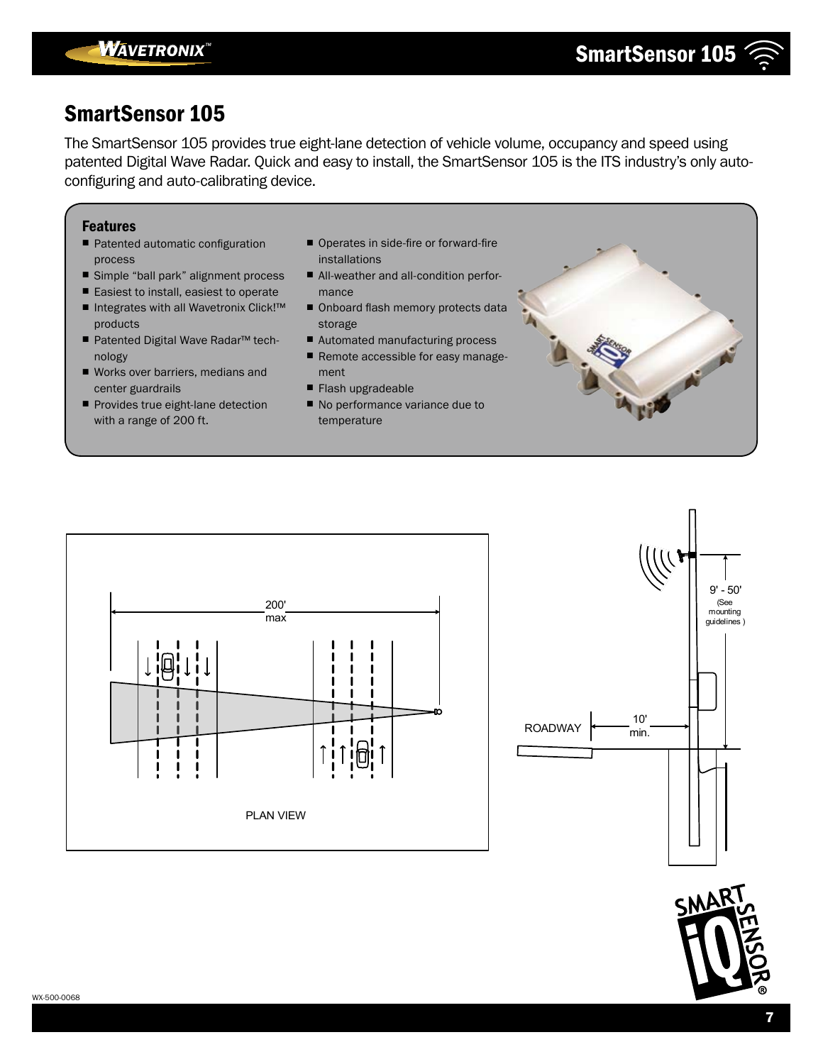

The SmartSensor 105 provides true eight-lane detection of vehicle volume, occupancy and speed using patented Digital Wave Radar. Quick and easy to install, the SmartSensor 105 is the ITS industry's only autoconfiguring and auto-calibrating device.

#### Features

- Patented automatic configuration process
- Simple "ball park" alignment process
- Easiest to install, easiest to operate
- Integrates with all Wavetronix Click!™ products
- Patented Digital Wave Radar™ technology
- Works over barriers, medians and center guardrails
- Provides true eight-lane detection with a range of 200 ft.
- Operates in side-fire or forward-fire installations
- All-weather and all-condition performance
- Onboard flash memory protects data storage
- Automated manufacturing process
- Remote accessible for easy management
- Flash upgradeable
- No performance variance due to temperature





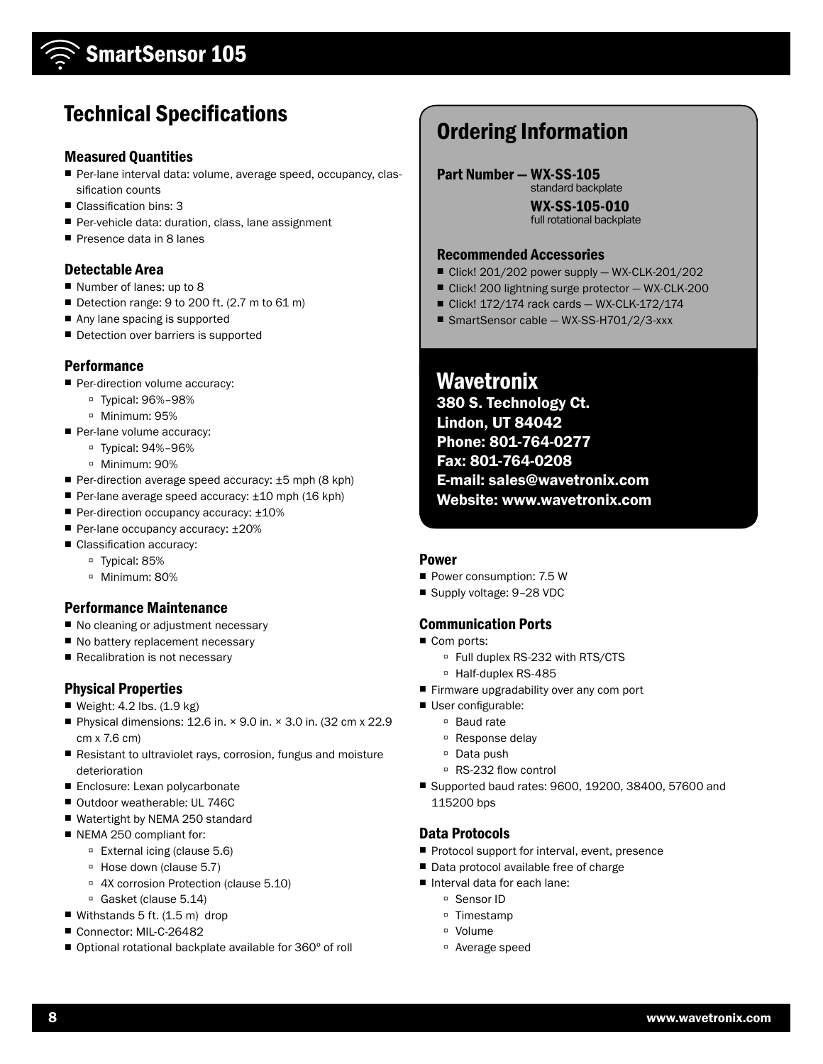# Technical Specifications

### Measured Quantities

- Per-lane interval data: volume, average speed, occupancy, classification counts
- Classification bins: 3
- Per-vehicle data: duration, class, lane assignment
- Presence data in 8 lanes

### Detectable Area

- Number of lanes: up to 8
- Detection range: 9 to 200 ft. (2.7 m to 61 m)
- Any lane spacing is supported
- Detection over barriers is supported

### **Performance**

- Per-direction volume accuracy:
	- à Typical: 96%–98%
	- à Minimum: 95%
- Per-lane volume accuracy:
	- à Typical: 94%–96%
	- à Minimum: 90%
- Per-direction average speed accuracy: ±5 mph (8 kph)
- Per-lane average speed accuracy: ±10 mph (16 kph)
- Per-direction occupancy accuracy: ±10%
- Per-lane occupancy accuracy: ±20%
- Classification accuracy:
	- à Typical: 85%
	- à Minimum: 80%

### Performance Maintenance

- No cleaning or adjustment necessary
- No battery replacement necessary
- Recalibration is not necessary

### Physical Properties

- Weight: 4.2 lbs. (1.9 kg)
- Physical dimensions: 12.6 in.  $×$  9.0 in.  $×$  3.0 in. (32 cm  $×$  22.9 cm x 7.6 cm)
- Resistant to ultraviolet rays, corrosion, fungus and moisture deterioration
- Enclosure: Lexan polycarbonate
- Outdoor weatherable: UL 746C
- Watertight by NEMA 250 standard
- NEMA 250 compliant for:
	- à External icing (clause 5.6)
	- à Hose down (clause 5.7)
	- <sup>o</sup> 4X corrosion Protection (clause 5.10)
	- <sup>□</sup> Gasket (clause 5.14)
- Withstands 5 ft. (1.5 m) drop
- Connector: MIL-C-26482
- Optional rotational backplate available for 360° of roll

# Ordering Information

Part Number — WX-SS-105

standard backplate WX-SS-105-010 full rotational backplate

### Recommended Accessories

- Click! 201/202 power supply WX-CLK-201/202
- Click! 200 lightning surge protector WX-CLK-200
- Click! 172/174 rack cards WX-CLK-172/174
- SmartSensor cable WX-SS-H701/2/3-xxx

**Wavetronix** 

380 S. Technology Ct. Lindon, UT 84042 Phone: 801-764-0277 Fax: 801-764-0208 E-mail: sales@wavetronix.com Website: www.wavetronix.com

#### Power

- Power consumption: 7.5 W
- Supply voltage: 9-28 VDC

### Communication Ports

- Com ports:
	- □ Full duplex RS-232 with RTS/CTS
	- <sup>D</sup> Half-duplex RS-485
- Firmware upgradability over any com port
- User configurable:
	- <sup>□</sup> Baud rate
	- <sup>□</sup> Response delay
	- □ Data push
	- à RS-232 flow control
- Supported baud rates: 9600, 19200, 38400, 57600 and 115200 bps

### Data Protocols

- Protocol support for interval, event, presence
- Data protocol available free of charge
- Interval data for each lane:
	- <sup>□</sup> Sensor ID
	- à Timestamp
	- à Volume
	- à Average speed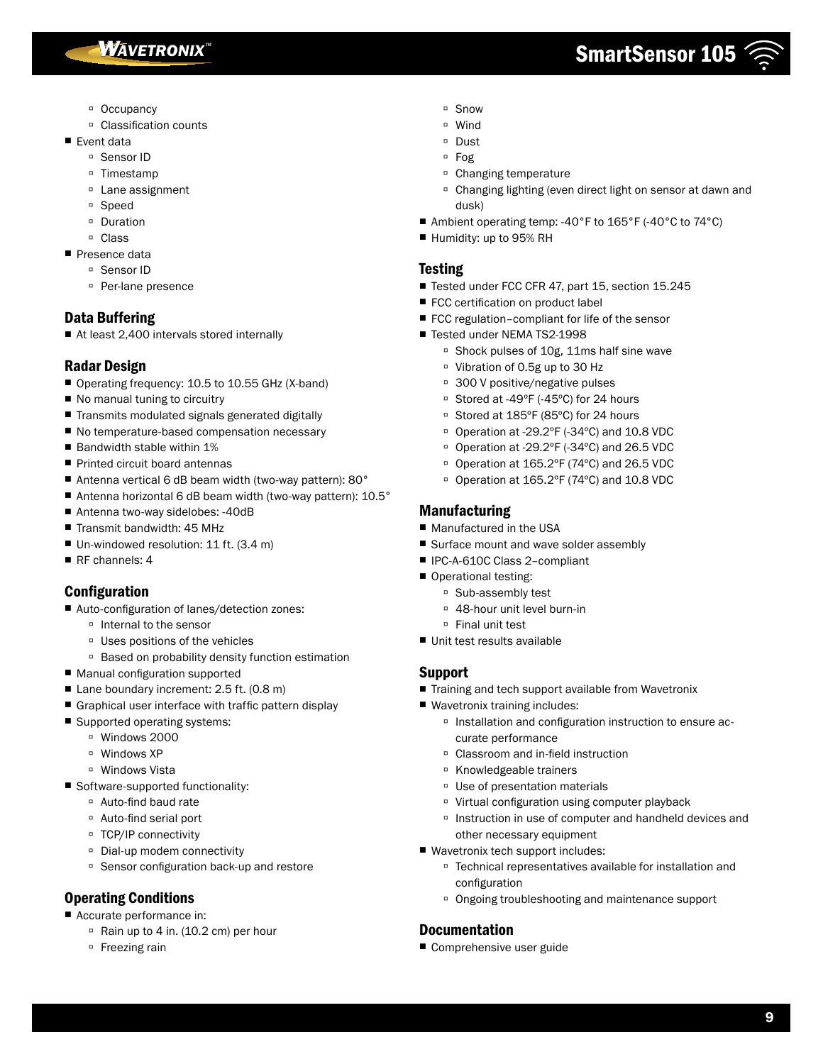**WAVETRONIX**<sup>\*\*</sup>

# SmartSensor 105

- <sup>□</sup> Occupancy
- à Classification counts
- Event data
	- à Sensor ID
	- à Timestamp
	- <sup>□</sup> Lane assignment
	- à Speed
	- à Duration
	- à Class
- Presence data
	- <sup>□</sup> Sensor ID
	- à Per-lane presence

## Data Buffering

■ At least 2,400 intervals stored internally

## Radar Design

- Operating frequency: 10.5 to 10.55 GHz (X-band)
- No manual tuning to circuitry
- Transmits modulated signals generated digitally
- No temperature-based compensation necessary
- Bandwidth stable within 1%
- Printed circuit board antennas
- Antenna vertical 6 dB beam width (two-way pattern): 80°
- Antenna horizontal 6 dB beam width (two-way pattern): 10.5°
- Antenna two-way sidelobes: -40dB
- Transmit bandwidth: 45 MHz
- Un-windowed resolution: 11 ft. (3.4 m)
- RF channels: 4

## Configuration

- Auto-configuration of lanes/detection zones:
	- à Internal to the sensor
	- à Uses positions of the vehicles
	- à Based on probability density function estimation
- Manual configuration supported
- Lane boundary increment: 2.5 ft. (0.8 m)
- Graphical user interface with traffic pattern display
- Supported operating systems:
	- à Windows 2000
	- à Windows XP
	- □ Windows Vista
- Software-supported functionality:
	- à Auto-find baud rate
	- à Auto-find serial port
	- à TCP/IP connectivity
	- à Dial-up modem connectivity
	- à Sensor configuration back-up and restore

## Operating Conditions

- Accurate performance in:
	- <sup>□</sup> Rain up to 4 in. (10.2 cm) per hour
	- <sup>D</sup> Freezing rain
- à Snow
- à Wind
- à Dust
- à Fog
- à Changing temperature
- à Changing lighting (even direct light on sensor at dawn and dusk)
- Ambient operating temp: -40°F to 165°F (-40°C to 74°C)
- Humidity: up to 95% RH

### **Testing**

- Tested under FCC CFR 47, part 15, section 15.245
- FCC certification on product label
- FCC regulation-compliant for life of the sensor
- Tested under NEMA TS2-1998
	- <sup>□</sup> Shock pulses of 10g, 11ms half sine wave
	- à Vibration of 0.5g up to 30 Hz
	- à 300 V positive/negative pulses
	- □ Stored at -49°F (-45°C) for 24 hours
	- □ Stored at 185°F (85°C) for 24 hours
	- à Operation at -29.2ºF (-34ºC) and 10.8 VDC
	- à Operation at -29.2ºF (-34ºC) and 26.5 VDC
	- à Operation at 165.2ºF (74ºC) and 26.5 VDC
	- □ Operation at 165.2°F (74°C) and 10.8 VDC

## Manufacturing

- Manufactured in the USA
- Surface mount and wave solder assembly
- IPC-A-610C Class 2-compliant
- Operational testing:
	- à Sub-assembly test
	- <sup>□</sup> 48-hour unit level burn-in
	- à Final unit test
- Unit test results available

## Support

- Training and tech support available from Wavetronix
- Wavetronix training includes:
	- à Installation and configuration instruction to ensure accurate performance
	- <sup>□</sup> Classroom and in-field instruction
	- à Knowledgeable trainers
	- <sup>□</sup> Use of presentation materials
	- à Virtual configuration using computer playback
	- à Instruction in use of computer and handheld devices and other necessary equipment
- Wavetronix tech support includes:
	- à Technical representatives available for installation and configuration
	- à Ongoing troubleshooting and maintenance support

## Documentation

■ Comprehensive user guide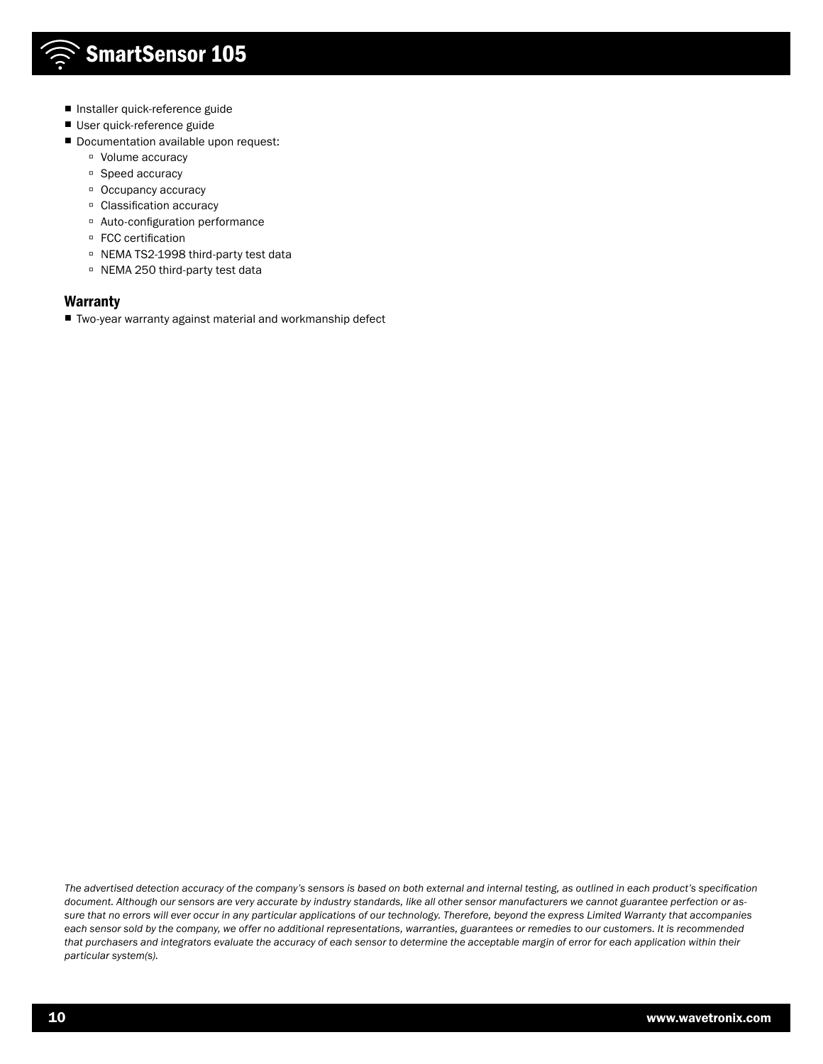- Installer quick-reference guide
- User quick-reference guide
- Documentation available upon request:
	- à Volume accuracy
	- <sup>□</sup> Speed accuracy
	- à Occupancy accuracy
	- à Classification accuracy
	- à Auto-configuration performance
	- □ FCC certification
	- à NEMA TS2-1998 third-party test data
	- à NEMA 250 third-party test data

#### Warranty

■ Two-year warranty against material and workmanship defect

*The advertised detection accuracy of the company's sensors is based on both external and internal testing, as outlined in each product's specification document. Although our sensors are very accurate by industry standards, like all other sensor manufacturers we cannot guarantee perfection or assure that no errors will ever occur in any particular applications of our technology. Therefore, beyond the express Limited Warranty that accompanies each sensor sold by the company, we offer no additional representations, warranties, guarantees or remedies to our customers. It is recommended that purchasers and integrators evaluate the accuracy of each sensor to determine the acceptable margin of error for each application within their particular system(s).*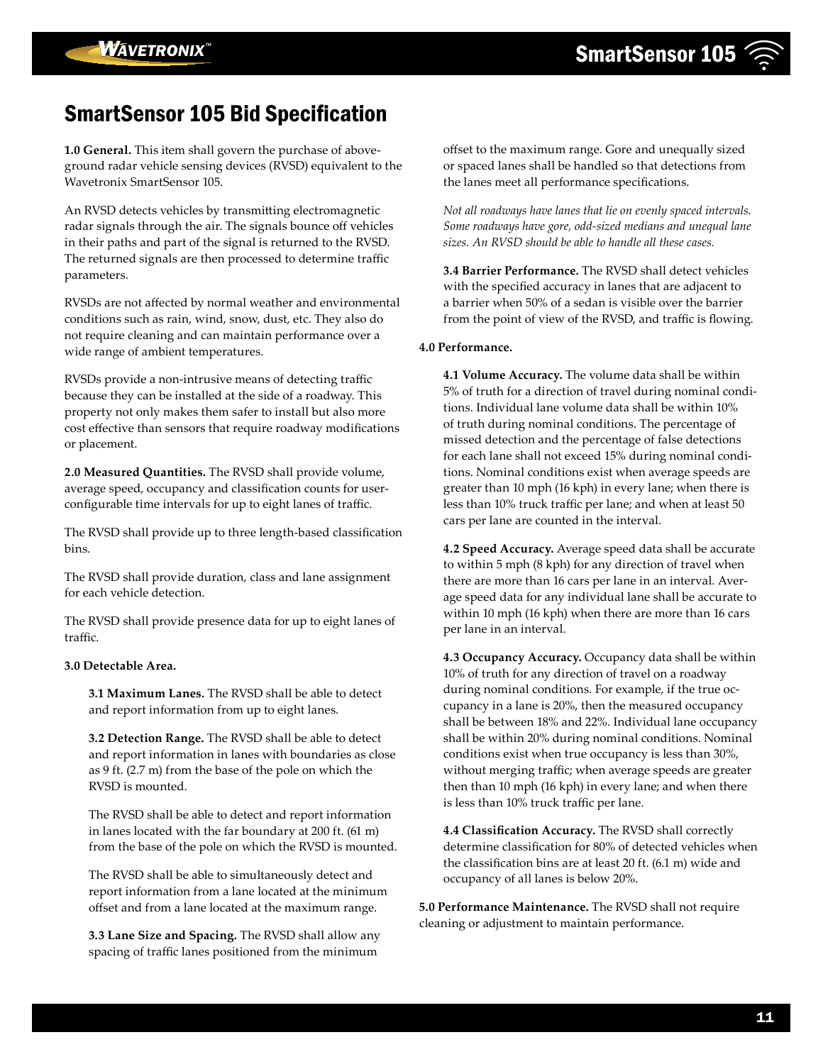## SmartSensor 105 Bid Specification

**1.0 General.** This item shall govern the purchase of aboveground radar vehicle sensing devices (RVSD) equivalent to the Wavetronix SmartSensor 105.

An RVSD detects vehicles by transmitting electromagnetic radar signals through the air. The signals bounce off vehicles in their paths and part of the signal is returned to the RVSD. The returned signals are then processed to determine traffic parameters.

RVSDs are not affected by normal weather and environmental conditions such as rain, wind, snow, dust, etc. They also do not require cleaning and can maintain performance over a wide range of ambient temperatures.

RVSDs provide a non-intrusive means of detecting traffic because they can be installed at the side of a roadway. This property not only makes them safer to install but also more cost effective than sensors that require roadway modifications or placement.

**2.0 Measured Quantities.** The RVSD shall provide volume, average speed, occupancy and classification counts for userconfigurable time intervals for up to eight lanes of traffic.

The RVSD shall provide up to three length-based classification bins.

The RVSD shall provide duration, class and lane assignment for each vehicle detection.

The RVSD shall provide presence data for up to eight lanes of traffic.

#### **3.0 Detectable Area.**

**3.1 Maximum Lanes.** The RVSD shall be able to detect and report information from up to eight lanes.

**3.2 Detection Range.** The RVSD shall be able to detect and report information in lanes with boundaries as close as 9 ft. (2.7 m) from the base of the pole on which the RVSD is mounted.

The RVSD shall be able to detect and report information in lanes located with the far boundary at 200 ft. (61 m) from the base of the pole on which the RVSD is mounted.

The RVSD shall be able to simultaneously detect and report information from a lane located at the minimum offset and from a lane located at the maximum range.

**3.3 Lane Size and Spacing.** The RVSD shall allow any spacing of traffic lanes positioned from the minimum

offset to the maximum range. Gore and unequally sized or spaced lanes shall be handled so that detections from the lanes meet all performance specifications.

*Not all roadways have lanes that lie on evenly spaced intervals. Some roadways have gore, odd-sized medians and unequal lane sizes. An RVSD should be able to handle all these cases.* 

**3.4 Barrier Performance.** The RVSD shall detect vehicles with the specified accuracy in lanes that are adjacent to a barrier when 50% of a sedan is visible over the barrier from the point of view of the RVSD, and traffic is flowing.

#### **4.0 Performance.**

**4.1 Volume Accuracy.** The volume data shall be within 5% of truth for a direction of travel during nominal conditions. Individual lane volume data shall be within 10% of truth during nominal conditions. The percentage of missed detection and the percentage of false detections for each lane shall not exceed 15% during nominal conditions. Nominal conditions exist when average speeds are greater than 10 mph (16 kph) in every lane; when there is less than 10% truck traffic per lane; and when at least 50 cars per lane are counted in the interval.

**4.2 Speed Accuracy.** Average speed data shall be accurate to within 5 mph (8 kph) for any direction of travel when there are more than 16 cars per lane in an interval. Average speed data for any individual lane shall be accurate to within 10 mph (16 kph) when there are more than 16 cars per lane in an interval.

**4.3 Occupancy Accuracy.** Occupancy data shall be within 10% of truth for any direction of travel on a roadway during nominal conditions. For example, if the true occupancy in a lane is 20%, then the measured occupancy shall be between 18% and 22%. Individual lane occupancy shall be within 20% during nominal conditions. Nominal conditions exist when true occupancy is less than 30%, without merging traffic; when average speeds are greater then than 10 mph (16 kph) in every lane; and when there is less than 10% truck traffic per lane.

**4.4 Classification Accuracy.** The RVSD shall correctly determine classification for 80% of detected vehicles when the classification bins are at least 20 ft. (6.1 m) wide and occupancy of all lanes is below 20%.

**5.0 Performance Maintenance.** The RVSD shall not require cleaning or adjustment to maintain performance.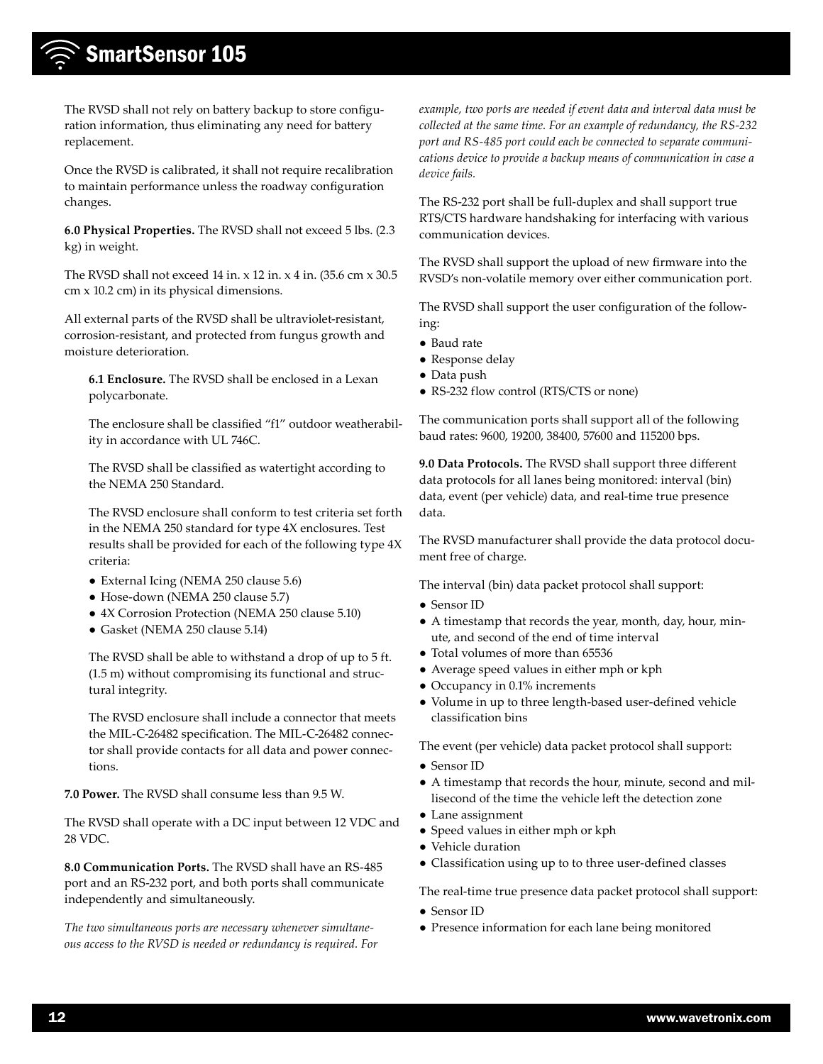The RVSD shall not rely on battery backup to store configuration information, thus eliminating any need for battery replacement.

Once the RVSD is calibrated, it shall not require recalibration to maintain performance unless the roadway configuration changes.

**6.0 Physical Properties.** The RVSD shall not exceed 5 lbs. (2.3 kg) in weight.

The RVSD shall not exceed 14 in. x 12 in. x 4 in. (35.6 cm x 30.5 cm x 10.2 cm) in its physical dimensions.

All external parts of the RVSD shall be ultraviolet-resistant, corrosion-resistant, and protected from fungus growth and moisture deterioration.

**6.1 Enclosure.** The RVSD shall be enclosed in a Lexan polycarbonate.

The enclosure shall be classified "f1" outdoor weatherability in accordance with UL 746C.

The RVSD shall be classified as watertight according to the NEMA 250 Standard.

The RVSD enclosure shall conform to test criteria set forth in the NEMA 250 standard for type 4X enclosures. Test results shall be provided for each of the following type 4X criteria:

- External Icing (NEMA 250 clause 5.6)
- Hose-down (NEMA 250 clause 5.7)
- 4X Corrosion Protection (NEMA 250 clause 5.10)
- Gasket (NEMA 250 clause 5.14)

The RVSD shall be able to withstand a drop of up to 5 ft. (1.5 m) without compromising its functional and structural integrity.

The RVSD enclosure shall include a connector that meets the MIL-C-26482 specification. The MIL-C-26482 connector shall provide contacts for all data and power connections.

**7.0 Power.** The RVSD shall consume less than 9.5 W.

The RVSD shall operate with a DC input between 12 VDC and 28 VDC.

**8.0 Communication Ports.** The RVSD shall have an RS-485 port and an RS-232 port, and both ports shall communicate independently and simultaneously.

*The two simultaneous ports are necessary whenever simultaneous access to the RVSD is needed or redundancy is required. For*  *example, two ports are needed if event data and interval data must be collected at the same time. For an example of redundancy, the RS-232 port and RS-485 port could each be connected to separate communications device to provide a backup means of communication in case a device fails.*

The RS-232 port shall be full-duplex and shall support true RTS/CTS hardware handshaking for interfacing with various communication devices.

The RVSD shall support the upload of new firmware into the RVSD's non-volatile memory over either communication port.

The RVSD shall support the user configuration of the following:

- Baud rate
- Response delay
- Data push
- RS-232 flow control (RTS/CTS or none)

The communication ports shall support all of the following baud rates: 9600, 19200, 38400, 57600 and 115200 bps.

**9.0 Data Protocols.** The RVSD shall support three different data protocols for all lanes being monitored: interval (bin) data, event (per vehicle) data, and real-time true presence data.

The RVSD manufacturer shall provide the data protocol document free of charge.

The interval (bin) data packet protocol shall support:

- Sensor ID
- A timestamp that records the year, month, day, hour, minute, and second of the end of time interval
- Total volumes of more than 65536
- Average speed values in either mph or kph
- Occupancy in 0.1% increments
- Volume in up to three length-based user-defined vehicle classification bins

The event (per vehicle) data packet protocol shall support:

- Sensor ID
- A timestamp that records the hour, minute, second and millisecond of the time the vehicle left the detection zone
- Lane assignment
- Speed values in either mph or kph
- Vehicle duration
- Classification using up to to three user-defined classes

The real-time true presence data packet protocol shall support:

- Sensor ID
- Presence information for each lane being monitored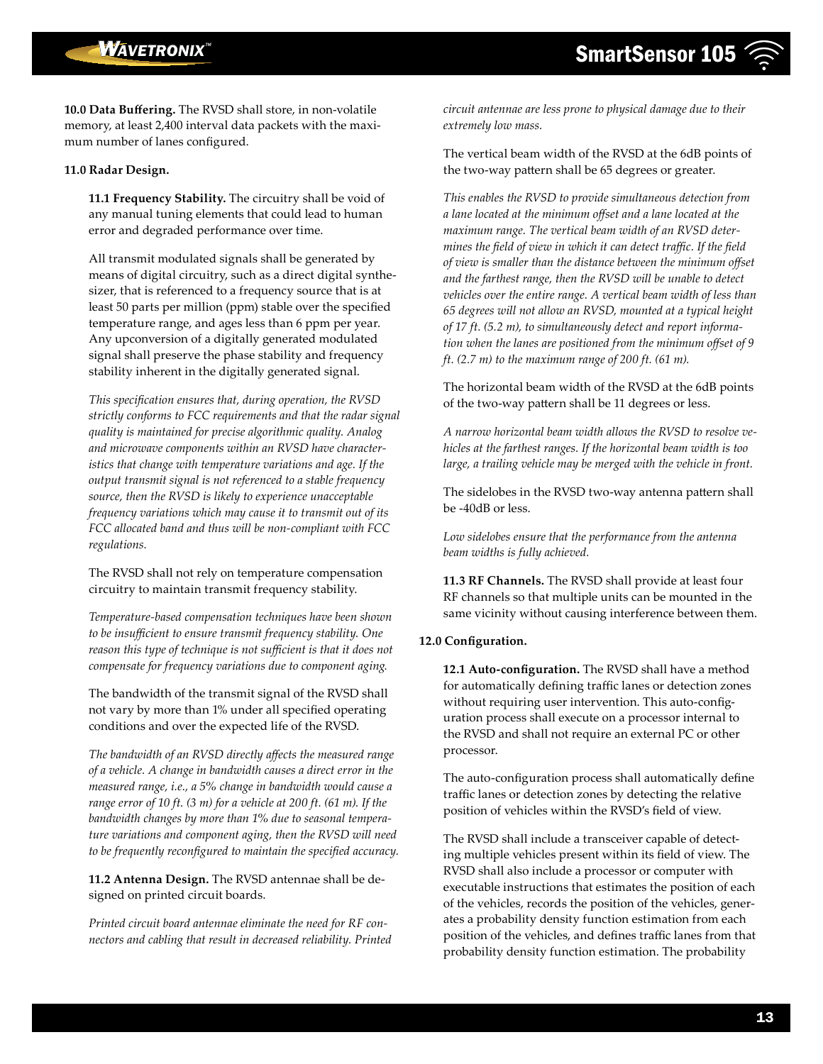**10.0 Data Buffering.** The RVSD shall store, in non-volatile memory, at least 2,400 interval data packets with the maximum number of lanes configured.

#### **11.0 Radar Design.**

**11.1 Frequency Stability.** The circuitry shall be void of any manual tuning elements that could lead to human error and degraded performance over time.

All transmit modulated signals shall be generated by means of digital circuitry, such as a direct digital synthesizer, that is referenced to a frequency source that is at least 50 parts per million (ppm) stable over the specified temperature range, and ages less than 6 ppm per year. Any upconversion of a digitally generated modulated signal shall preserve the phase stability and frequency stability inherent in the digitally generated signal.

*This specification ensures that, during operation, the RVSD strictly conforms to FCC requirements and that the radar signal quality is maintained for precise algorithmic quality. Analog and microwave components within an RVSD have characteristics that change with temperature variations and age. If the output transmit signal is not referenced to a stable frequency source, then the RVSD is likely to experience unacceptable frequency variations which may cause it to transmit out of its FCC allocated band and thus will be non-compliant with FCC regulations.*

The RVSD shall not rely on temperature compensation circuitry to maintain transmit frequency stability.

*Temperature-based compensation techniques have been shown to be insufficient to ensure transmit frequency stability. One reason this type of technique is not sufficient is that it does not compensate for frequency variations due to component aging.*

The bandwidth of the transmit signal of the RVSD shall not vary by more than 1% under all specified operating conditions and over the expected life of the RVSD.

*The bandwidth of an RVSD directly affects the measured range of a vehicle. A change in bandwidth causes a direct error in the measured range, i.e., a 5% change in bandwidth would cause a range error of 10 ft. (3 m) for a vehicle at 200 ft. (61 m). If the bandwidth changes by more than 1% due to seasonal temperature variations and component aging, then the RVSD will need to be frequently reconfigured to maintain the specified accuracy.*

**11.2 Antenna Design.** The RVSD antennae shall be designed on printed circuit boards.

*Printed circuit board antennae eliminate the need for RF connectors and cabling that result in decreased reliability. Printed* 

*circuit antennae are less prone to physical damage due to their extremely low mass.*

The vertical beam width of the RVSD at the 6dB points of the two-way pattern shall be 65 degrees or greater.

*This enables the RVSD to provide simultaneous detection from a lane located at the minimum offset and a lane located at the maximum range. The vertical beam width of an RVSD determines the field of view in which it can detect traffic. If the field of view is smaller than the distance between the minimum offset and the farthest range, then the RVSD will be unable to detect vehicles over the entire range. A vertical beam width of less than 65 degrees will not allow an RVSD, mounted at a typical height of 17 ft. (5.2 m), to simultaneously detect and report information when the lanes are positioned from the minimum offset of 9 ft. (2.7 m) to the maximum range of 200 ft. (61 m).* 

The horizontal beam width of the RVSD at the 6dB points of the two-way pattern shall be 11 degrees or less.

*A narrow horizontal beam width allows the RVSD to resolve vehicles at the farthest ranges. If the horizontal beam width is too*  large, a trailing vehicle may be merged with the vehicle in front.

The sidelobes in the RVSD two-way antenna pattern shall be -40dB or less.

*Low sidelobes ensure that the performance from the antenna beam widths is fully achieved.*

**11.3 RF Channels.** The RVSD shall provide at least four RF channels so that multiple units can be mounted in the same vicinity without causing interference between them.

#### **12.0 Configuration.**

**12.1 Auto-configuration.** The RVSD shall have a method for automatically defining traffic lanes or detection zones without requiring user intervention. This auto-configuration process shall execute on a processor internal to the RVSD and shall not require an external PC or other processor.

The auto-configuration process shall automatically define traffic lanes or detection zones by detecting the relative position of vehicles within the RVSD's field of view.

The RVSD shall include a transceiver capable of detecting multiple vehicles present within its field of view. The RVSD shall also include a processor or computer with executable instructions that estimates the position of each of the vehicles, records the position of the vehicles, generates a probability density function estimation from each position of the vehicles, and defines traffic lanes from that probability density function estimation. The probability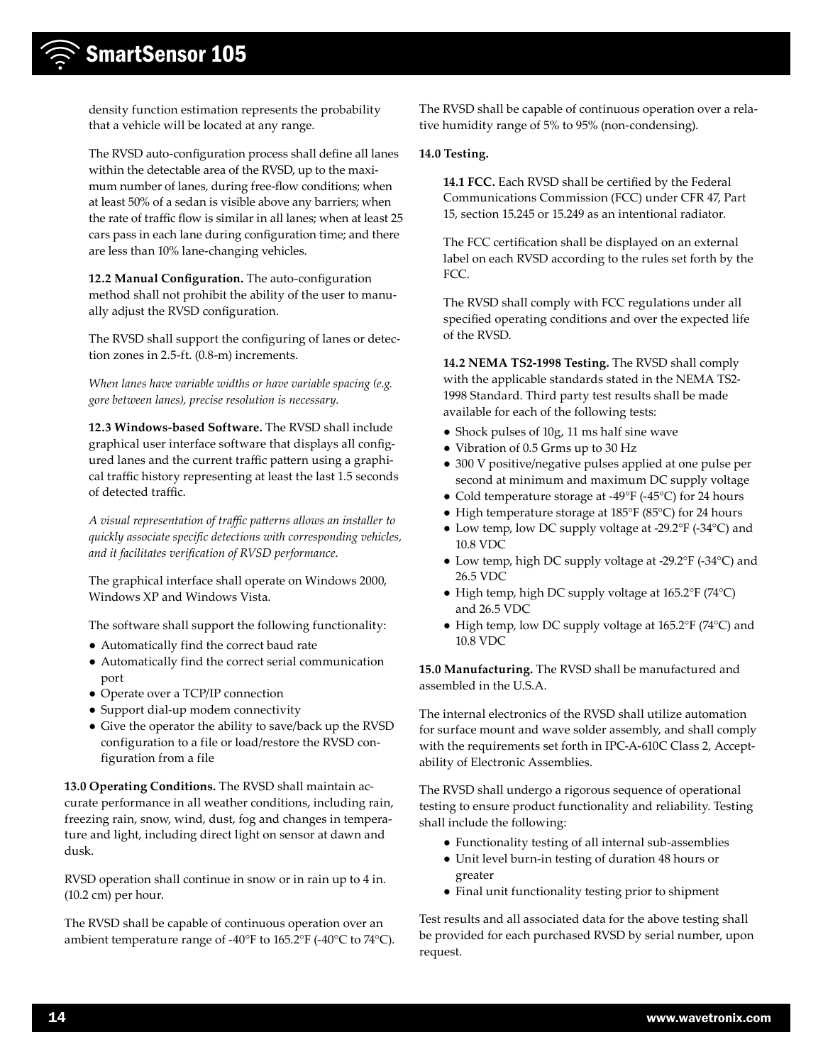density function estimation represents the probability that a vehicle will be located at any range.

The RVSD auto-configuration process shall define all lanes within the detectable area of the RVSD, up to the maximum number of lanes, during free-flow conditions; when at least 50% of a sedan is visible above any barriers; when the rate of traffic flow is similar in all lanes; when at least 25 cars pass in each lane during configuration time; and there are less than 10% lane-changing vehicles.

**12.2 Manual Configuration.** The auto-configuration method shall not prohibit the ability of the user to manually adjust the RVSD configuration.

The RVSD shall support the configuring of lanes or detection zones in 2.5-ft. (0.8-m) increments.

*When lanes have variable widths or have variable spacing (e.g. gore between lanes), precise resolution is necessary.*

**12.3 Windows-based Software.** The RVSD shall include graphical user interface software that displays all configured lanes and the current traffic pattern using a graphical traffic history representing at least the last 1.5 seconds of detected traffic.

*A visual representation of traffic patterns allows an installer to quickly associate specific detections with corresponding vehicles, and it facilitates verification of RVSD performance.*

The graphical interface shall operate on Windows 2000, Windows XP and Windows Vista.

The software shall support the following functionality:

- Automatically find the correct baud rate
- Automatically find the correct serial communication port
- Operate over a TCP/IP connection
- Support dial-up modem connectivity
- Give the operator the ability to save/back up the RVSD configuration to a file or load/restore the RVSD configuration from a file

**13.0 Operating Conditions.** The RVSD shall maintain accurate performance in all weather conditions, including rain, freezing rain, snow, wind, dust, fog and changes in temperature and light, including direct light on sensor at dawn and dusk.

RVSD operation shall continue in snow or in rain up to 4 in. (10.2 cm) per hour.

The RVSD shall be capable of continuous operation over an ambient temperature range of -40°F to 165.2°F (-40°C to 74°C). The RVSD shall be capable of continuous operation over a relative humidity range of 5% to 95% (non-condensing).

#### **14.0 Testing.**

**14.1 FCC.** Each RVSD shall be certified by the Federal Communications Commission (FCC) under CFR 47, Part 15, section 15.245 or 15.249 as an intentional radiator.

The FCC certification shall be displayed on an external label on each RVSD according to the rules set forth by the FCC.

The RVSD shall comply with FCC regulations under all specified operating conditions and over the expected life of the RVSD.

**14.2 NEMA TS2-1998 Testing.** The RVSD shall comply with the applicable standards stated in the NEMA TS2- 1998 Standard. Third party test results shall be made available for each of the following tests:

- Shock pulses of 10g, 11 ms half sine wave
- Vibration of 0.5 Grms up to 30 Hz
- 300 V positive/negative pulses applied at one pulse per second at minimum and maximum DC supply voltage
- Cold temperature storage at -49°F (-45°C) for 24 hours
- High temperature storage at 185°F (85°C) for 24 hours
- Low temp, low DC supply voltage at -29.2°F (-34°C) and 10.8 VDC
- Low temp, high DC supply voltage at -29.2°F (-34°C) and 26.5 VDC
- High temp, high DC supply voltage at 165.2°F (74°C) and 26.5 VDC
- High temp, low DC supply voltage at 165.2°F (74°C) and 10.8 VDC

**15.0 Manufacturing.** The RVSD shall be manufactured and assembled in the U.S.A.

The internal electronics of the RVSD shall utilize automation for surface mount and wave solder assembly, and shall comply with the requirements set forth in IPC-A-610C Class 2, Acceptability of Electronic Assemblies.

The RVSD shall undergo a rigorous sequence of operational testing to ensure product functionality and reliability. Testing shall include the following:

- Functionality testing of all internal sub-assemblies
- Unit level burn-in testing of duration 48 hours or greater
- Final unit functionality testing prior to shipment

Test results and all associated data for the above testing shall be provided for each purchased RVSD by serial number, upon request.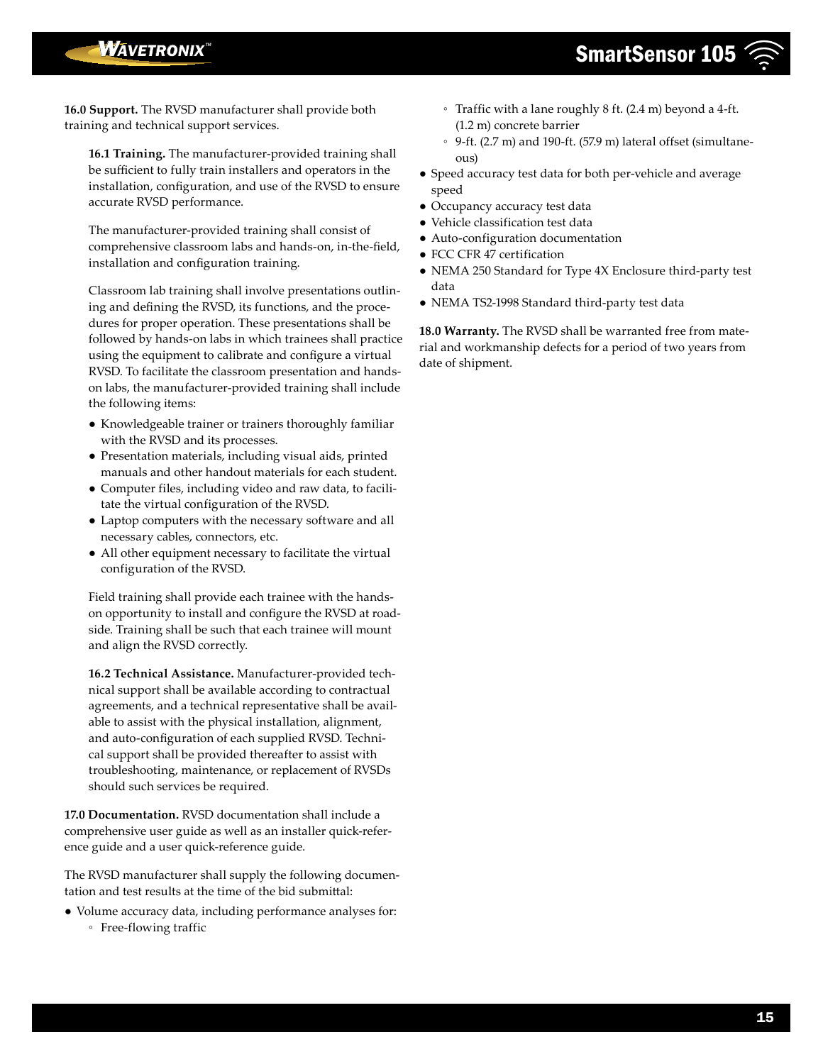## **WAVETRONIX**<sup>\*\*</sup>

**16.0 Support.** The RVSD manufacturer shall provide both training and technical support services.

**16.1 Training.** The manufacturer-provided training shall be sufficient to fully train installers and operators in the installation, configuration, and use of the RVSD to ensure accurate RVSD performance.

The manufacturer-provided training shall consist of comprehensive classroom labs and hands-on, in-the-field, installation and configuration training.

Classroom lab training shall involve presentations outlining and defining the RVSD, its functions, and the procedures for proper operation. These presentations shall be followed by hands-on labs in which trainees shall practice using the equipment to calibrate and configure a virtual RVSD. To facilitate the classroom presentation and handson labs, the manufacturer-provided training shall include the following items:

- Knowledgeable trainer or trainers thoroughly familiar with the RVSD and its processes.
- Presentation materials, including visual aids, printed manuals and other handout materials for each student.
- Computer files, including video and raw data, to facilitate the virtual configuration of the RVSD.
- Laptop computers with the necessary software and all necessary cables, connectors, etc.
- All other equipment necessary to facilitate the virtual configuration of the RVSD.

Field training shall provide each trainee with the handson opportunity to install and configure the RVSD at roadside. Training shall be such that each trainee will mount and align the RVSD correctly.

**16.2 Technical Assistance.** Manufacturer-provided technical support shall be available according to contractual agreements, and a technical representative shall be available to assist with the physical installation, alignment, and auto-configuration of each supplied RVSD. Technical support shall be provided thereafter to assist with troubleshooting, maintenance, or replacement of RVSDs should such services be required.

**17.0 Documentation.** RVSD documentation shall include a comprehensive user guide as well as an installer quick-reference guide and a user quick-reference guide.

The RVSD manufacturer shall supply the following documentation and test results at the time of the bid submittal:

- Volume accuracy data, including performance analyses for:
	- Free-flowing traffic
- Traffic with a lane roughly 8 ft. (2.4 m) beyond a 4-ft. (1.2 m) concrete barrier
- 9-ft. (2.7 m) and 190-ft. (57.9 m) lateral offset (simultaneous)
- Speed accuracy test data for both per-vehicle and average speed
- Occupancy accuracy test data
- Vehicle classification test data
- Auto-configuration documentation
- FCC CFR 47 certification
- NEMA 250 Standard for Type 4X Enclosure third-party test data
- NEMA TS2-1998 Standard third-party test data

**18.0 Warranty.** The RVSD shall be warranted free from material and workmanship defects for a period of two years from date of shipment.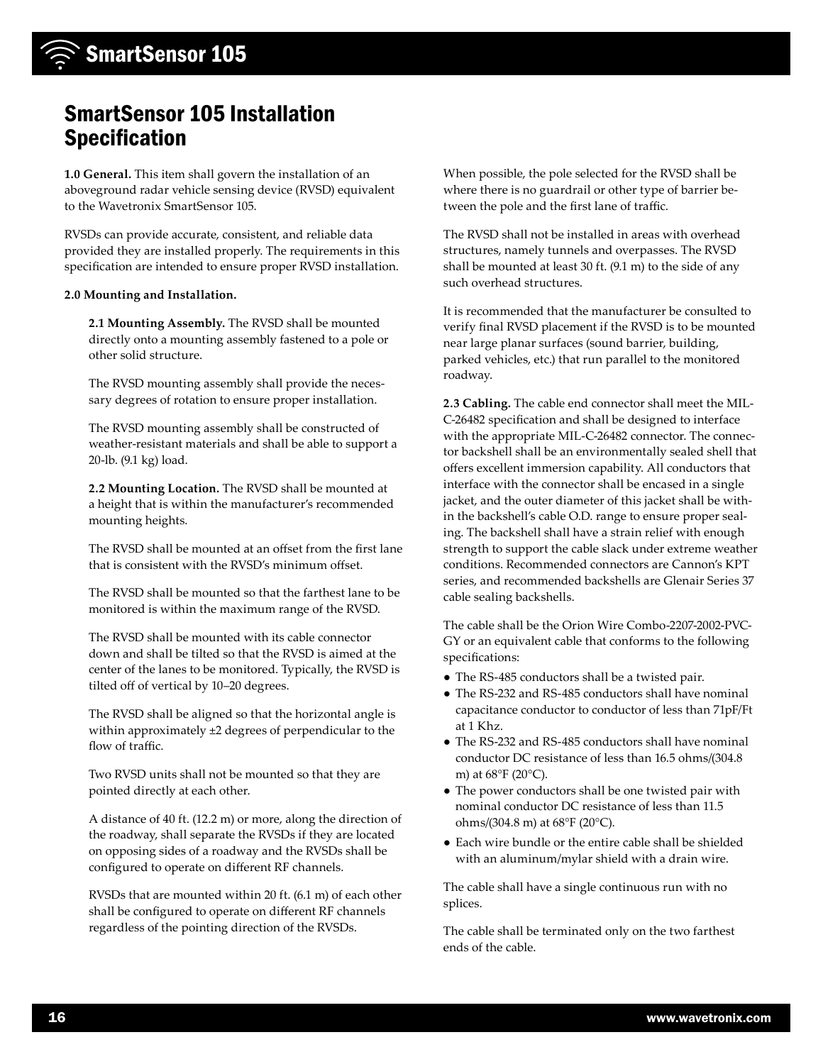## SmartSensor 105 Installation Specification

**1.0 General.** This item shall govern the installation of an aboveground radar vehicle sensing device (RVSD) equivalent to the Wavetronix SmartSensor 105.

RVSDs can provide accurate, consistent, and reliable data provided they are installed properly. The requirements in this specification are intended to ensure proper RVSD installation.

#### **2.0 Mounting and Installation.**

**2.1 Mounting Assembly.** The RVSD shall be mounted directly onto a mounting assembly fastened to a pole or other solid structure.

The RVSD mounting assembly shall provide the necessary degrees of rotation to ensure proper installation.

The RVSD mounting assembly shall be constructed of weather-resistant materials and shall be able to support a 20-lb. (9.1 kg) load.

**2.2 Mounting Location.** The RVSD shall be mounted at a height that is within the manufacturer's recommended mounting heights.

The RVSD shall be mounted at an offset from the first lane that is consistent with the RVSD's minimum offset.

The RVSD shall be mounted so that the farthest lane to be monitored is within the maximum range of the RVSD.

The RVSD shall be mounted with its cable connector down and shall be tilted so that the RVSD is aimed at the center of the lanes to be monitored. Typically, the RVSD is tilted off of vertical by 10–20 degrees.

The RVSD shall be aligned so that the horizontal angle is within approximately ±2 degrees of perpendicular to the flow of traffic.

Two RVSD units shall not be mounted so that they are pointed directly at each other.

A distance of 40 ft. (12.2 m) or more, along the direction of the roadway, shall separate the RVSDs if they are located on opposing sides of a roadway and the RVSDs shall be configured to operate on different RF channels.

RVSDs that are mounted within 20 ft. (6.1 m) of each other shall be configured to operate on different RF channels regardless of the pointing direction of the RVSDs.

When possible, the pole selected for the RVSD shall be where there is no guardrail or other type of barrier between the pole and the first lane of traffic.

The RVSD shall not be installed in areas with overhead structures, namely tunnels and overpasses. The RVSD shall be mounted at least 30 ft. (9.1 m) to the side of any such overhead structures.

It is recommended that the manufacturer be consulted to verify final RVSD placement if the RVSD is to be mounted near large planar surfaces (sound barrier, building, parked vehicles, etc.) that run parallel to the monitored roadway.

**2.3 Cabling.** The cable end connector shall meet the MIL-C-26482 specification and shall be designed to interface with the appropriate MIL-C-26482 connector. The connector backshell shall be an environmentally sealed shell that offers excellent immersion capability. All conductors that interface with the connector shall be encased in a single jacket, and the outer diameter of this jacket shall be within the backshell's cable O.D. range to ensure proper sealing. The backshell shall have a strain relief with enough strength to support the cable slack under extreme weather conditions. Recommended connectors are Cannon's KPT series, and recommended backshells are Glenair Series 37 cable sealing backshells.

The cable shall be the Orion Wire Combo-2207-2002-PVC-GY or an equivalent cable that conforms to the following specifications:

- The RS-485 conductors shall be a twisted pair.
- The RS-232 and RS-485 conductors shall have nominal capacitance conductor to conductor of less than 71pF/Ft at 1 Khz.
- The RS-232 and RS-485 conductors shall have nominal conductor DC resistance of less than 16.5 ohms/(304.8 m) at 68°F (20°C).
- The power conductors shall be one twisted pair with nominal conductor DC resistance of less than 11.5 ohms/(304.8 m) at 68°F (20°C).
- Each wire bundle or the entire cable shall be shielded with an aluminum/mylar shield with a drain wire.

The cable shall have a single continuous run with no splices.

The cable shall be terminated only on the two farthest ends of the cable.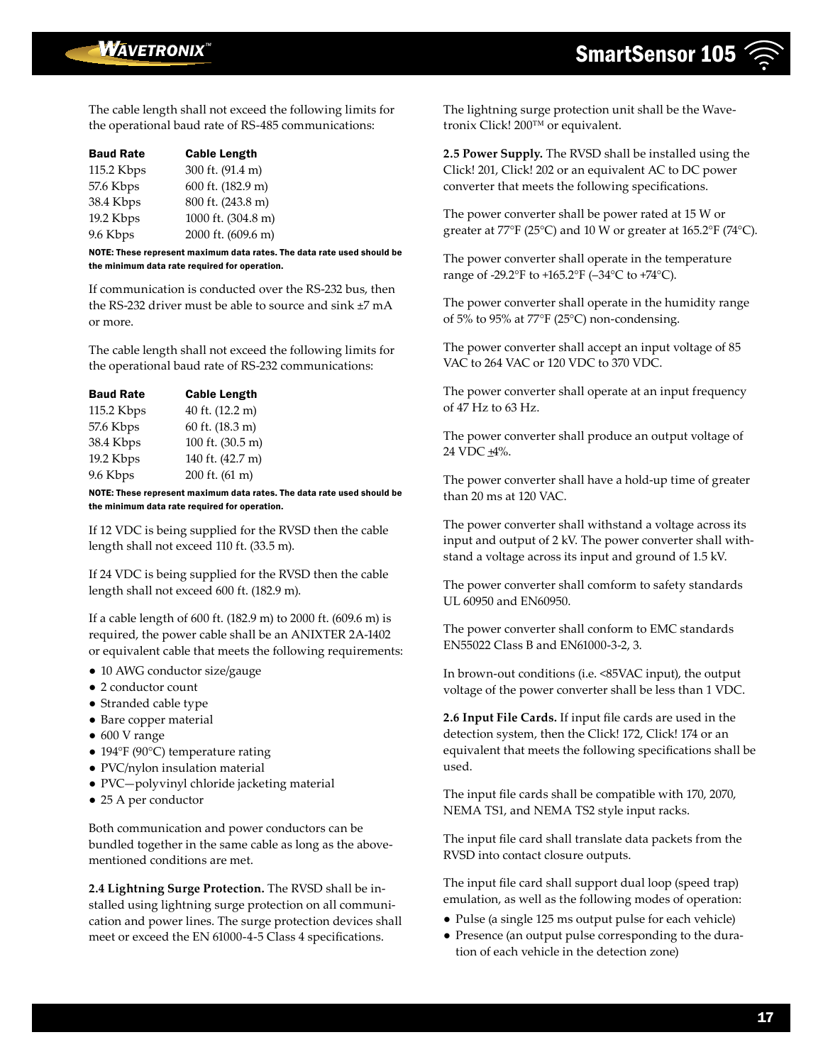The cable length shall not exceed the following limits for the operational baud rate of RS-485 communications:

| <b>Baud Rate</b> | <b>Cable Length</b> |
|------------------|---------------------|
| 115.2 Kbps       | 300 ft. (91.4 m)    |
| 57.6 Kbps        | 600 ft. (182.9 m)   |
| 38.4 Kbps        | 800 ft. (243.8 m)   |
| 19.2 Kbps        | 1000 ft. (304.8 m)  |
| 9.6 Kbps         | 2000 ft. (609.6 m)  |
|                  |                     |

NOTE: These represent maximum data rates. The data rate used should be the minimum data rate required for operation.

If communication is conducted over the RS-232 bus, then the RS-232 driver must be able to source and sink ±7 mA or more.

The cable length shall not exceed the following limits for the operational baud rate of RS-232 communications:

| <b>Cable Length</b> |
|---------------------|
| 40 ft. (12.2 m)     |
| 60 ft. (18.3 m)     |
| 100 ft. (30.5 m)    |
| 140 ft. (42.7 m)    |
| 200 ft. (61 m)      |
|                     |

NOTE: These represent maximum data rates. The data rate used should be the minimum data rate required for operation.

If 12 VDC is being supplied for the RVSD then the cable length shall not exceed 110 ft. (33.5 m).

If 24 VDC is being supplied for the RVSD then the cable length shall not exceed 600 ft. (182.9 m).

If a cable length of 600 ft. (182.9 m) to 2000 ft. (609.6 m) is required, the power cable shall be an ANIXTER 2A-1402 or equivalent cable that meets the following requirements:

- 10 AWG conductor size/gauge
- 2 conductor count
- Stranded cable type
- Bare copper material
- 600 V range
- 194°F (90°C) temperature rating
- PVC/nylon insulation material
- PVC—polyvinyl chloride jacketing material
- 25 A per conductor

Both communication and power conductors can be bundled together in the same cable as long as the abovementioned conditions are met.

**2.4 Lightning Surge Protection.** The RVSD shall be installed using lightning surge protection on all communication and power lines. The surge protection devices shall meet or exceed the EN 61000-4-5 Class 4 specifications.

The lightning surge protection unit shall be the Wavetronix Click! 200™ or equivalent.

**2.5 Power Supply.** The RVSD shall be installed using the Click! 201, Click! 202 or an equivalent AC to DC power converter that meets the following specifications.

The power converter shall be power rated at 15 W or greater at 77°F (25°C) and 10 W or greater at 165.2°F (74°C).

The power converter shall operate in the temperature range of -29.2°F to +165.2°F (–34°C to +74°C).

The power converter shall operate in the humidity range of 5% to 95% at 77°F (25°C) non-condensing.

The power converter shall accept an input voltage of 85 VAC to 264 VAC or 120 VDC to 370 VDC.

The power converter shall operate at an input frequency of 47 Hz to 63 Hz.

The power converter shall produce an output voltage of 24 VDC  $\pm$ 4%.

The power converter shall have a hold-up time of greater than 20 ms at 120 VAC.

The power converter shall withstand a voltage across its input and output of 2 kV. The power converter shall withstand a voltage across its input and ground of 1.5 kV.

The power converter shall comform to safety standards UL 60950 and EN60950.

The power converter shall conform to EMC standards EN55022 Class B and EN61000-3-2, 3.

In brown-out conditions (i.e. <85VAC input), the output voltage of the power converter shall be less than 1 VDC.

**2.6 Input File Cards.** If input file cards are used in the detection system, then the Click! 172, Click! 174 or an equivalent that meets the following specifications shall be used.

The input file cards shall be compatible with 170, 2070, NEMA TS1, and NEMA TS2 style input racks.

The input file card shall translate data packets from the RVSD into contact closure outputs.

The input file card shall support dual loop (speed trap) emulation, as well as the following modes of operation:

- Pulse (a single 125 ms output pulse for each vehicle)
- Presence (an output pulse corresponding to the duration of each vehicle in the detection zone)